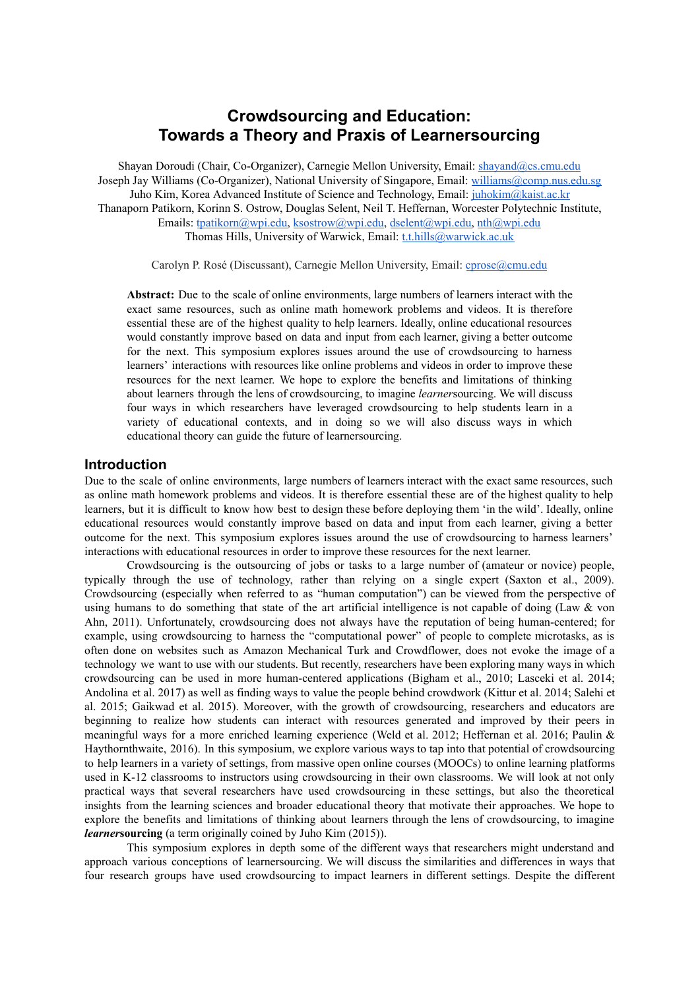# **Crowdsourcing and Education: Towards a Theory and Praxis of Learnersourcing**

Shayan Doroudi (Chair, Co-Organizer), Carnegie Mellon University, Email: [shayand@cs.cmu.edu](mailto:shayand@cs.cmu.edu) Joseph Jay Williams (Co-Organizer), National University of Singapore, Email: [williams@comp.nus.edu.sg](mailto:williams@comp.nus.edu.sg) Juho Kim, Korea Advanced Institute of Science and Technology, Email: [juhokim@kaist.ac.kr](mailto:juhokim@kaist.ac.kr) Thanaporn Patikorn, Korinn S. Ostrow, Douglas Selent, Neil T. Heffernan, Worcester Polytechnic Institute, Emails: [tpatikorn@wpi.edu,](mailto:tpatikorn@wpi.edu) [ksostrow@wpi.edu](mailto:ksostrow@wpi.edu), [dselent@wpi.edu,](mailto:dselent@wpi.edu) [nth@wpi.edu](mailto:nth@wpi.edu) Thomas Hills, University of Warwick, Email: the thills@warwick.ac.uk

Carolyn P. Rosé (Discussant), Carnegie Mellon University, Email: [cprose@cmu.edu](mailto:cprose@cmu.edu)

**Abstract:** Due to the scale of online environments, large numbers of learners interact with the exact same resources, such as online math homework problems and videos. It is therefore essential these are of the highest quality to help learners. Ideally, online educational resources would constantly improve based on data and input from each learner, giving a better outcome for the next. This symposium explores issues around the use of crowdsourcing to harness learners' interactions with resources like online problems and videos in order to improve these resources for the next learner. We hope to explore the benefits and limitations of thinking about learners through the lens of crowdsourcing, to imagine *learner*sourcing. We will discuss four ways in which researchers have leveraged crowdsourcing to help students learn in a variety of educational contexts, and in doing so we will also discuss ways in which educational theory can guide the future of learnersourcing.

#### **Introduction**

Due to the scale of online environments, large numbers of learners interact with the exact same resources, such as online math homework problems and videos. It is therefore essential these are of the highest quality to help learners, but it is difficult to know how best to design these before deploying them 'in the wild'. Ideally, online educational resources would constantly improve based on data and input from each learner, giving a better outcome for the next. This symposium explores issues around the use of crowdsourcing to harness learners' interactions with educational resources in order to improve these resources for the next learner.

Crowdsourcing is the outsourcing of jobs or tasks to a large number of (amateur or novice) people, typically through the use of technology, rather than relying on a single expert (Saxton et al., 2009). Crowdsourcing (especially when referred to as "human computation") can be viewed from the perspective of using humans to do something that state of the art artificial intelligence is not capable of doing (Law & von Ahn, 2011). Unfortunately, crowdsourcing does not always have the reputation of being human-centered; for example, using crowdsourcing to harness the "computational power" of people to complete microtasks, as is often done on websites such as Amazon Mechanical Turk and Crowdflower, does not evoke the image of a technology we want to use with our students. But recently, researchers have been exploring many ways in which crowdsourcing can be used in more human-centered applications (Bigham et al., 2010; Lasceki et al. 2014; Andolina et al. 2017) as well as finding ways to value the people behind crowdwork (Kittur et al. 2014; Salehi et al. 2015; Gaikwad et al. 2015). Moreover, with the growth of crowdsourcing, researchers and educators are beginning to realize how students can interact with resources generated and improved by their peers in meaningful ways for a more enriched learning experience (Weld et al. 2012; Heffernan et al. 2016; Paulin & Haythornthwaite, 2016). In this symposium, we explore various ways to tap into that potential of crowdsourcing to help learners in a variety of settings, from massive open online courses (MOOCs) to online learning platforms used in K-12 classrooms to instructors using crowdsourcing in their own classrooms. We will look at not only practical ways that several researchers have used crowdsourcing in these settings, but also the theoretical insights from the learning sciences and broader educational theory that motivate their approaches. We hope to explore the benefits and limitations of thinking about learners through the lens of crowdsourcing, to imagine *learner***sourcing** (a term originally coined by Juho Kim (2015)).

This symposium explores in depth some of the different ways that researchers might understand and approach various conceptions of learnersourcing. We will discuss the similarities and differences in ways that four research groups have used crowdsourcing to impact learners in different settings. Despite the different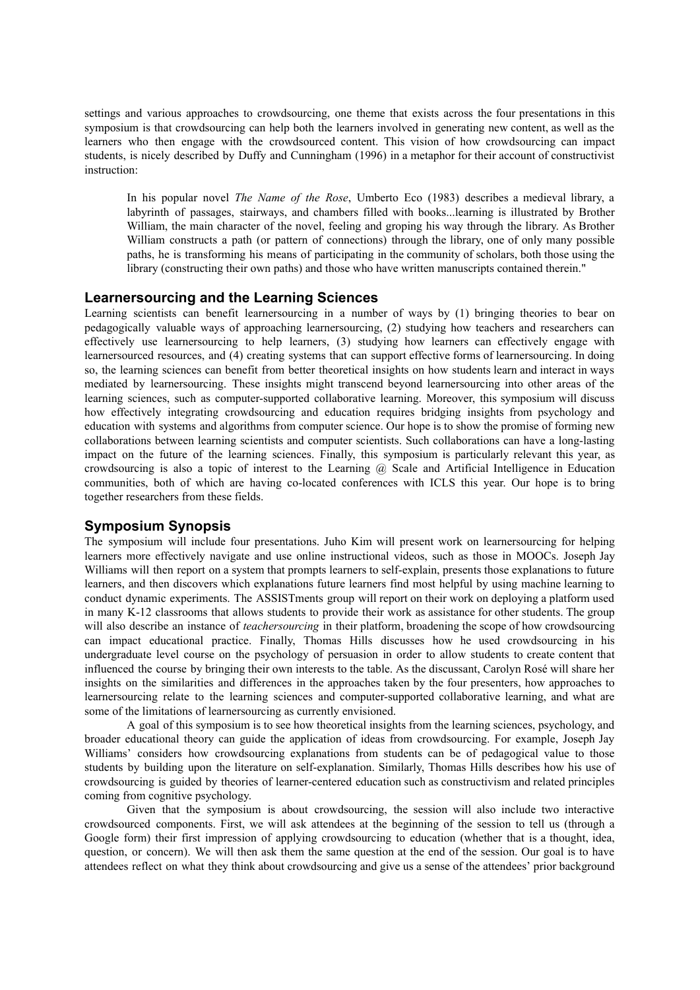settings and various approaches to crowdsourcing, one theme that exists across the four presentations in this symposium is that crowdsourcing can help both the learners involved in generating new content, as well as the learners who then engage with the crowdsourced content. This vision of how crowdsourcing can impact students, is nicely described by Duffy and Cunningham (1996) in a metaphor for their account of constructivist instruction:

In his popular novel *The Name of the Rose*, Umberto Eco (1983) describes a medieval library, a labyrinth of passages, stairways, and chambers filled with books...learning is illustrated by Brother William, the main character of the novel, feeling and groping his way through the library. As Brother William constructs a path (or pattern of connections) through the library, one of only many possible paths, he is transforming his means of participating in the community of scholars, both those using the library (constructing their own paths) and those who have written manuscripts contained therein."

#### **Learnersourcing and the Learning Sciences**

Learning scientists can benefit learnersourcing in a number of ways by (1) bringing theories to bear on pedagogically valuable ways of approaching learnersourcing, (2) studying how teachers and researchers can effectively use learnersourcing to help learners, (3) studying how learners can effectively engage with learnersourced resources, and (4) creating systems that can support effective forms of learnersourcing. In doing so, the learning sciences can benefit from better theoretical insights on how students learn and interact in ways mediated by learnersourcing. These insights might transcend beyond learnersourcing into other areas of the learning sciences, such as computer-supported collaborative learning. Moreover, this symposium will discuss how effectively integrating crowdsourcing and education requires bridging insights from psychology and education with systems and algorithms from computer science. Our hope is to show the promise of forming new collaborations between learning scientists and computer scientists. Such collaborations can have a long-lasting impact on the future of the learning sciences. Finally, this symposium is particularly relevant this year, as crowdsourcing is also a topic of interest to the Learning @ Scale and Artificial Intelligence in Education communities, both of which are having colocated conferences with ICLS this year. Our hope is to bring together researchers from these fields.

#### **Symposium Synopsis**

The symposium will include four presentations. Juho Kim will present work on learnersourcing for helping learners more effectively navigate and use online instructional videos, such as those in MOOCs. Joseph Jay Williams will then report on a system that prompts learners to self-explain, presents those explanations to future learners, and then discovers which explanations future learners find most helpful by using machine learning to conduct dynamic experiments. The ASSISTments group will report on their work on deploying a platform used in many K12 classrooms that allows students to provide their work as assistance for other students. The group will also describe an instance of *teachersourcing* in their platform, broadening the scope of how crowdsourcing can impact educational practice. Finally, Thomas Hills discusses how he used crowdsourcing in his undergraduate level course on the psychology of persuasion in order to allow students to create content that influenced the course by bringing their own interests to the table. As the discussant, Carolyn Rosé will share her insights on the similarities and differences in the approaches taken by the four presenters, how approaches to learnersourcing relate to the learning sciences and computer-supported collaborative learning, and what are some of the limitations of learnersourcing as currently envisioned.

A goal of this symposium is to see how theoretical insights from the learning sciences, psychology, and broader educational theory can guide the application of ideas from crowdsourcing. For example, Joseph Jay Williams' considers how crowdsourcing explanations from students can be of pedagogical value to those students by building upon the literature on self-explanation. Similarly, Thomas Hills describes how his use of crowdsourcing is guided by theories of learner-centered education such as constructivism and related principles coming from cognitive psychology.

Given that the symposium is about crowdsourcing, the session will also include two interactive crowdsourced components. First, we will ask attendees at the beginning of the session to tell us (through a Google form) their first impression of applying crowdsourcing to education (whether that is a thought, idea, question, or concern). We will then ask them the same question at the end of the session. Our goal is to have attendees reflect on what they think about crowdsourcing and give us a sense of the attendees' prior background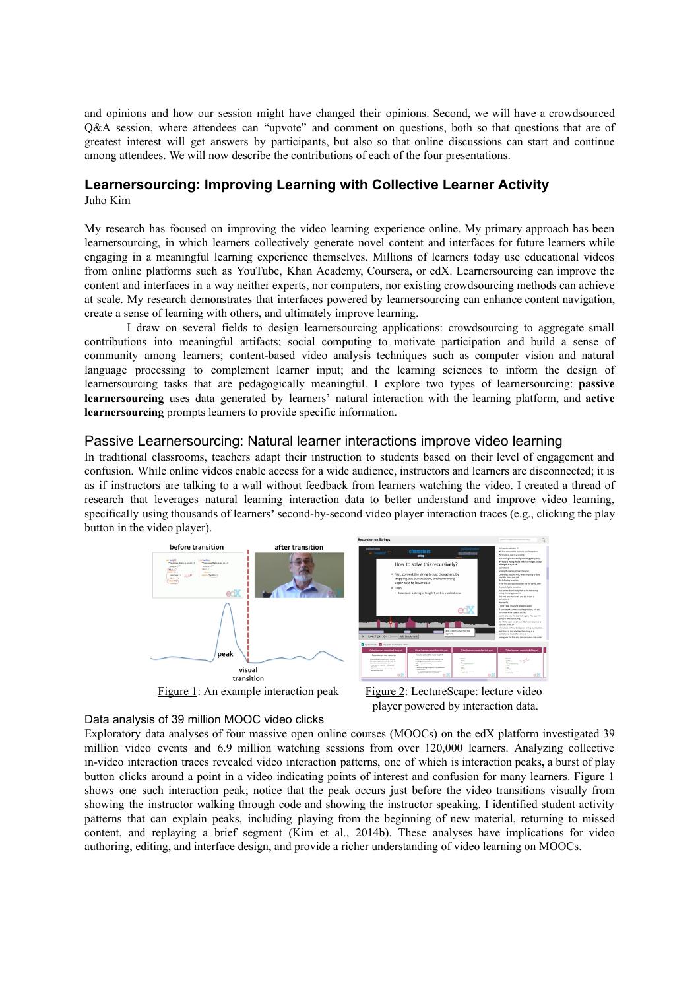and opinions and how our session might have changed their opinions. Second, we will have a crowdsourced Q&A session, where attendees can "upvote" and comment on questions, both so that questions that are of greatest interest will get answers by participants, but also so that online discussions can start and continue among attendees. We will now describe the contributions of each of the four presentations.

# **Learnersourcing: Improving Learning with Collective Learner Activity**

Juho Kim

My research has focused on improving the video learning experience online. My primary approach has been learnersourcing, in which learners collectively generate novel content and interfaces for future learners while engaging in a meaningful learning experience themselves. Millions of learners today use educational videos from online platforms such as YouTube, Khan Academy, Coursera, or edX. Learnersourcing can improve the content and interfaces in a way neither experts, nor computers, nor existing crowdsourcing methods can achieve at scale. My research demonstrates that interfaces powered by learnersourcing can enhance content navigation, create a sense of learning with others, and ultimately improve learning.

I draw on several fields to design learnersourcing applications: crowdsourcing to aggregate small contributions into meaningful artifacts; social computing to motivate participation and build a sense of community among learners; content-based video analysis techniques such as computer vision and natural language processing to complement learner input; and the learning sciences to inform the design of learnersourcing tasks that are pedagogically meaningful. I explore two types of learnersourcing: **passive learnersourcing** uses data generated by learners' natural interaction with the learning platform, and **active learnersourcing** prompts learners to provide specific information.

# Passive Learnersourcing: Natural learner interactions improve video learning

In traditional classrooms, teachers adapt their instruction to students based on their level of engagement and confusion. While online videos enable access for a wide audience, instructors and learners are disconnected; it is as if instructors are talking to a wall without feedback from learners watching the video. I created a thread of research that leverages natural learning interaction data to better understand and improve video learning, specifically using thousands of learners' second-by-second video player interaction traces (e.g., clicking the play button in the video player).



Data analysis of 39 million MOOC video clicks



Figure 1: An example interaction peak Figure 2: LectureScape: lecture video player powered by interaction data.

Exploratory data analyses of four massive open online courses (MOOCs) on the edX platform investigated 39 million video events and 6.9 million watching sessions from over 120,000 learners. Analyzing collective in-video interaction traces revealed video interaction patterns, one of which is interaction peaks, a burst of play button clicks around a point in a video indicating points of interest and confusion for many learners. Figure 1 shows one such interaction peak; notice that the peak occurs just before the video transitions visually from showing the instructor walking through code and showing the instructor speaking. I identified student activity patterns that can explain peaks, including playing from the beginning of new material, returning to missed content, and replaying a brief segment (Kim et al., 2014b). These analyses have implications for video authoring, editing, and interface design, and provide a richer understanding of video learning on MOOCs.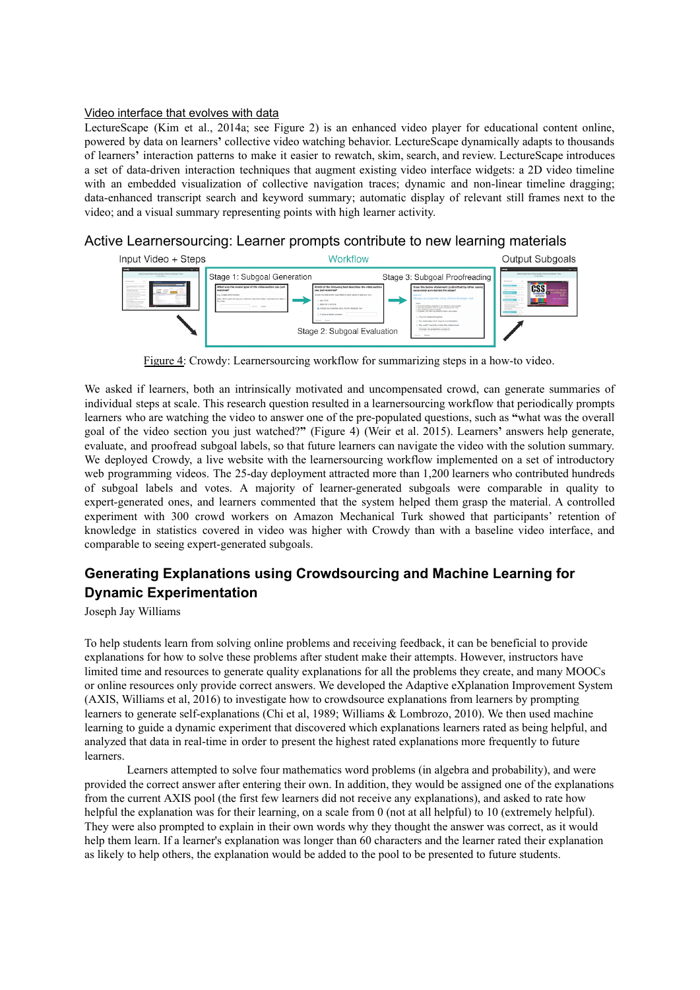#### Video interface that evolves with data

LectureScape (Kim et al., 2014a; see Figure 2) is an enhanced video player for educational content online, powered by data on learners**'** collective video watching behavior. LectureScape dynamically adapts to thousands of learners**'** interaction patterns to make it easier to rewatch, skim, search, and review. LectureScape introduces a set of data-driven interaction techniques that augment existing video interface widgets: a 2D video timeline with an embedded visualization of collective navigation traces; dynamic and non-linear timeline dragging; data-enhanced transcript search and keyword summary; automatic display of relevant still frames next to the video; and a visual summary representing points with high learner activity.

## Active Learnersourcing: Learner prompts contribute to new learning materials



Figure 4: Crowdy: Learnersourcing workflow for summarizing steps in a how-to video.

We asked if learners, both an intrinsically motivated and uncompensated crowd, can generate summaries of individual steps at scale. This research question resulted in a learnersourcing workflow that periodically prompts learners who are watching the video to answer one of the pre-populated questions, such as "what was the overall goal of the video section you just watched?**"** (Figure 4) (Weir et al. 2015). Learners**'** answers help generate, evaluate, and proofread subgoal labels, so that future learners can navigate the video with the solution summary. We deployed Crowdy, a live website with the learnersourcing workflow implemented on a set of introductory web programming videos. The 25-day deployment attracted more than 1,200 learners who contributed hundreds of subgoal labels and votes. A majority of learner-generated subgoals were comparable in quality to expert-generated ones, and learners commented that the system helped them grasp the material. A controlled experiment with 300 crowd workers on Amazon Mechanical Turk showed that participants' retention of knowledge in statistics covered in video was higher with Crowdy than with a baseline video interface, and comparable to seeing expert-generated subgoals.

# **Generating Explanations using Crowdsourcing and Machine Learning for Dynamic Experimentation**

Joseph Jay Williams

To help students learn from solving online problems and receiving feedback, it can be beneficial to provide explanations for how to solve these problems after student make their attempts. However, instructors have limited time and resources to generate quality explanations for all the problems they create, and many MOOCs or online resources only provide correct answers. We developed the Adaptive eXplanation Improvement System (AXIS, Williams et al, 2016) to investigate how to crowdsource explanations from learners by prompting learners to generate self-explanations (Chi et al, 1989; Williams & Lombrozo, 2010). We then used machine learning to guide a dynamic experiment that discovered which explanations learners rated as being helpful, and analyzed that data in real-time in order to present the highest rated explanations more frequently to future learners.

Learners attempted to solve four mathematics word problems (in algebra and probability), and were provided the correct answer after entering their own. In addition, they would be assigned one of the explanations from the current AXIS pool (the first few learners did not receive any explanations), and asked to rate how helpful the explanation was for their learning, on a scale from 0 (not at all helpful) to 10 (extremely helpful). They were also prompted to explain in their own words why they thought the answer was correct, as it would help them learn. If a learner's explanation was longer than 60 characters and the learner rated their explanation as likely to help others, the explanation would be added to the pool to be presented to future students.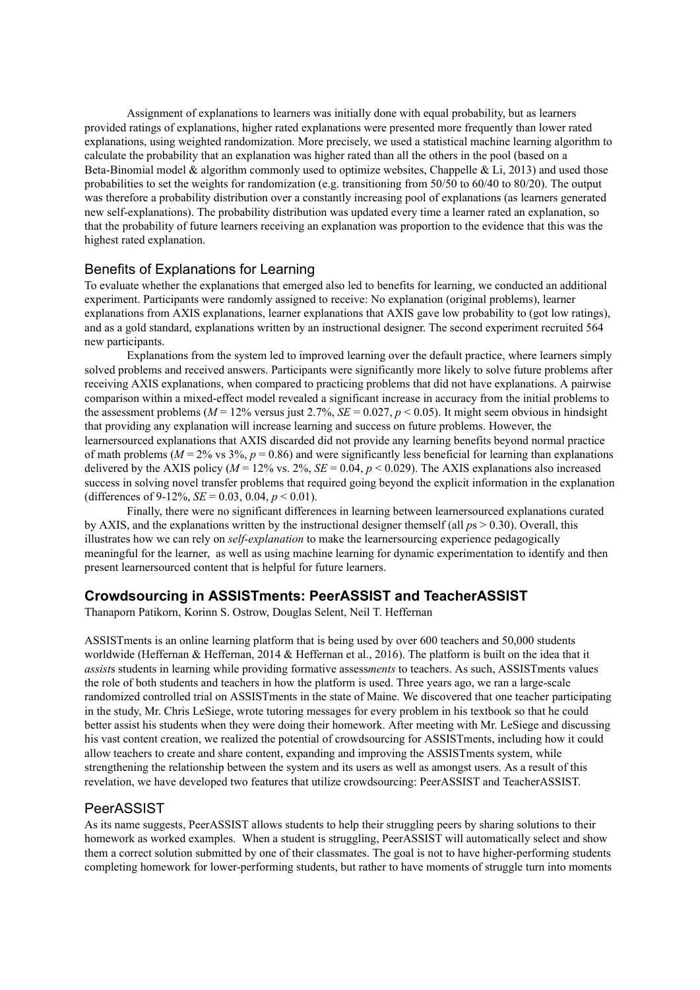Assignment of explanations to learners was initially done with equal probability, but as learners provided ratings of explanations, higher rated explanations were presented more frequently than lower rated explanations, using weighted randomization. More precisely, we used a statistical machine learning algorithm to calculate the probability that an explanation was higher rated than all the others in the pool (based on a Beta-Binomial model  $&$  algorithm commonly used to optimize websites, Chappelle  $&$  Li, 2013) and used those probabilities to set the weights for randomization (e.g. transitioning from 50/50 to 60/40 to 80/20). The output was therefore a probability distribution over a constantly increasing pool of explanations (as learners generated new selfexplanations). The probability distribution was updated every time a learner rated an explanation, so that the probability of future learners receiving an explanation was proportion to the evidence that this was the highest rated explanation.

## Benefits of Explanations for Learning

To evaluate whether the explanations that emerged also led to benefits for learning, we conducted an additional experiment. Participants were randomly assigned to receive: No explanation (original problems), learner explanations from AXIS explanations, learner explanations that AXIS gave low probability to (got low ratings), and as a gold standard, explanations written by an instructional designer. The second experiment recruited 564 new participants.

Explanations from the system led to improved learning over the default practice, where learners simply solved problems and received answers. Participants were significantly more likely to solve future problems after receiving AXIS explanations, when compared to practicing problems that did not have explanations. A pairwise comparison within a mixed-effect model revealed a significant increase in accuracy from the initial problems to the assessment problems ( $M = 12\%$  versus just 2.7%,  $SE = 0.027$ ,  $p < 0.05$ ). It might seem obvious in hindsight that providing any explanation will increase learning and success on future problems. However, the learnersourced explanations that AXIS discarded did not provide any learning benefits beyond normal practice of math problems ( $M = 2\%$  vs 3%,  $p = 0.86$ ) and were significantly less beneficial for learning than explanations delivered by the AXIS policy ( $M = 12\%$  vs.  $2\%$ ,  $SE = 0.04$ ,  $p < 0.029$ ). The AXIS explanations also increased success in solving novel transfer problems that required going beyond the explicit information in the explanation (differences of 9-12%, *SE* = 0.03, 0.04,  $p < 0.01$ ).

Finally, there were no significant differences in learning between learnersourced explanations curated by AXIS, and the explanations written by the instructional designer themself (all *p*s > 0.30). Overall, this illustrates how we can rely on *selfexplanation* to make the learnersourcing experience pedagogically meaningful for the learner, as well as using machine learning for dynamic experimentation to identify and then present learnersourced content that is helpful for future learners.

# **Crowdsourcing in ASSISTments: PeerASSIST and TeacherASSIST**

Thanaporn Patikorn, Korinn S. Ostrow, Douglas Selent, Neil T. Heffernan

ASSISTments is an online learning platform that is being used by over 600 teachers and 50,000 students worldwide (Heffernan & Heffernan, 2014 & Heffernan et al., 2016). The platform is built on the idea that it *assist*s students in learning while providing formative assess*ments* to teachers. As such, ASSISTments values the role of both students and teachers in how the platform is used. Three years ago, we ran a large-scale randomized controlled trial on ASSISTments in the state of Maine. We discovered that one teacher participating in the study, Mr. Chris LeSiege, wrote tutoring messages for every problem in his textbook so that he could better assist his students when they were doing their homework. After meeting with Mr. LeSiege and discussing his vast content creation, we realized the potential of crowdsourcing for ASSISTments, including how it could allow teachers to create and share content, expanding and improving the ASSISTments system, while strengthening the relationship between the system and its users as well as amongst users. As a result of this revelation, we have developed two features that utilize crowdsourcing: PeerASSIST and TeacherASSIST.

#### PeerASSIST

As its name suggests, PeerASSIST allows students to help their struggling peers by sharing solutions to their homework as worked examples. When a student is struggling, PeerASSIST will automatically select and show them a correct solution submitted by one of their classmates. The goal is not to have higher-performing students completing homework for lower-performing students, but rather to have moments of struggle turn into moments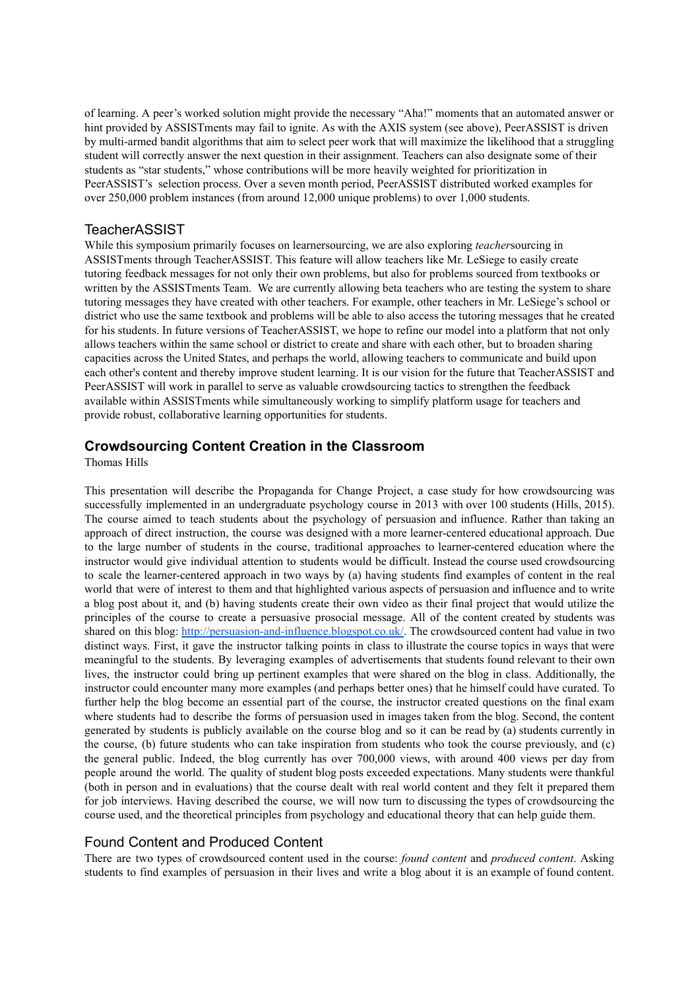of learning. A peer's worked solution might provide the necessary "Aha!" moments that an automated answer or hint provided by ASSISTments may fail to ignite. As with the AXIS system (see above), PeerASSIST is driven by multi-armed bandit algorithms that aim to select peer work that will maximize the likelihood that a struggling student will correctly answer the next question in their assignment. Teachers can also designate some of their students as "star students," whose contributions will be more heavily weighted for prioritization in PeerASSIST's selection process. Over a seven month period, PeerASSIST distributed worked examples for over 250,000 problem instances (from around 12,000 unique problems) to over 1,000 students.

### **TeacherASSIST**

While this symposium primarily focuses on learnersourcing, we are also exploring *teacher*sourcing in ASSISTments through TeacherASSIST. This feature will allow teachers like Mr. LeSiege to easily create tutoring feedback messages for not only their own problems, but also for problems sourced from textbooks or written by the ASSISTments Team. We are currently allowing beta teachers who are testing the system to share tutoring messages they have created with other teachers. For example, other teachers in Mr. LeSiege's school or district who use the same textbook and problems will be able to also access the tutoring messages that he created for his students. In future versions of TeacherASSIST, we hope to refine our model into a platform that not only allows teachers within the same school or district to create and share with each other, but to broaden sharing capacities across the United States, and perhaps the world, allowing teachers to communicate and build upon each other's content and thereby improve student learning. It is our vision for the future that TeacherASSIST and PeerASSIST will work in parallel to serve as valuable crowdsourcing tactics to strengthen the feedback available within ASSISTments while simultaneously working to simplify platform usage for teachers and provide robust, collaborative learning opportunities for students.

# **Crowdsourcing Content Creation in the Classroom**

Thomas Hills

This presentation will describe the Propaganda for Change Project, a case study for how crowdsourcing was successfully implemented in an undergraduate psychology course in 2013 with over 100 students (Hills, 2015). The course aimed to teach students about the psychology of persuasion and influence. Rather than taking an approach of direct instruction, the course was designed with a more learner-centered educational approach. Due to the large number of students in the course, traditional approaches to learner-centered education where the instructor would give individual attention to students would be difficult. Instead the course used crowdsourcing to scale the learner-centered approach in two ways by (a) having students find examples of content in the real world that were of interest to them and that highlighted various aspects of persuasion and influence and to write a blog post about it, and (b) having students create their own video as their final project that would utilize the principles of the course to create a persuasive prosocial message. All of the content created by students was shared on this blog: http://persuasion-and-influence.blogspot.co.uk/. The crowdsourced content had value in two distinct ways. First, it gave the instructor talking points in class to illustrate the course topics in ways that were meaningful to the students. By leveraging examples of advertisements that students found relevant to their own lives, the instructor could bring up pertinent examples that were shared on the blog in class. Additionally, the instructor could encounter many more examples (and perhaps better ones) that he himself could have curated. To further help the blog become an essential part of the course, the instructor created questions on the final exam where students had to describe the forms of persuasion used in images taken from the blog. Second, the content generated by students is publicly available on the course blog and so it can be read by (a) students currently in the course, (b) future students who can take inspiration from students who took the course previously, and (c) the general public. Indeed, the blog currently has over 700,000 views, with around 400 views per day from people around the world. The quality of student blog posts exceeded expectations. Many students were thankful (both in person and in evaluations) that the course dealt with real world content and they felt it prepared them for job interviews. Having described the course, we will now turn to discussing the types of crowdsourcing the course used, and the theoretical principles from psychology and educational theory that can help guide them.

# Found Content and Produced Content

There are two types of crowdsourced content used in the course: *found content* and *produced content*. Asking students to find examples of persuasion in their lives and write a blog about it is an example of found content.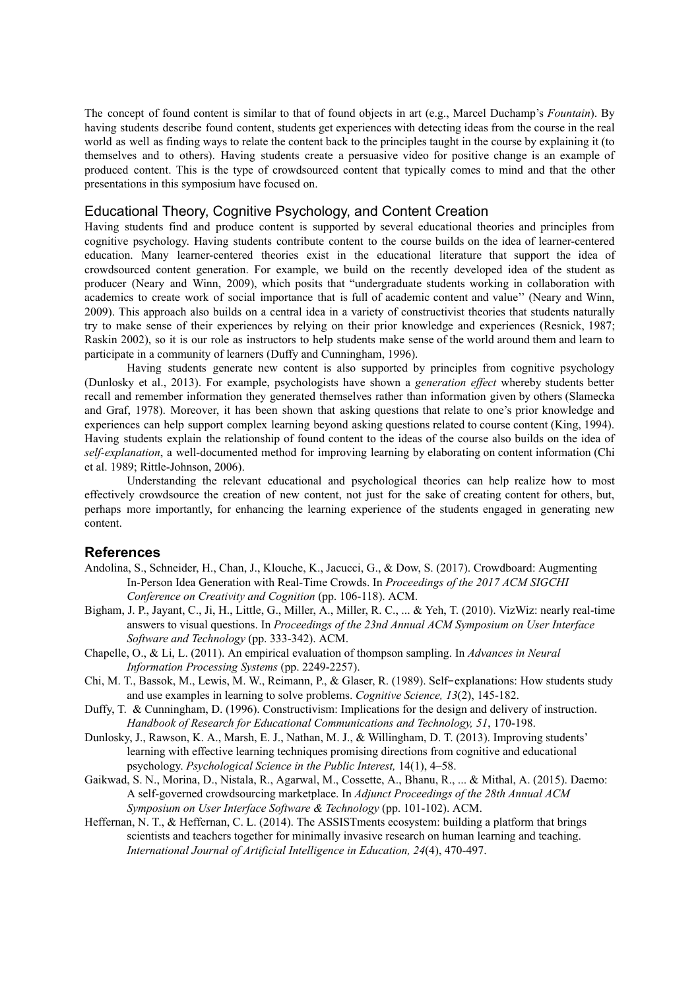The concept of found content is similar to that of found objects in art (e.g., Marcel Duchamp's *Fountain*). By having students describe found content, students get experiences with detecting ideas from the course in the real world as well as finding ways to relate the content back to the principles taught in the course by explaining it (to themselves and to others). Having students create a persuasive video for positive change is an example of produced content. This is the type of crowdsourced content that typically comes to mind and that the other presentations in this symposium have focused on.

#### Educational Theory, Cognitive Psychology, and Content Creation

Having students find and produce content is supported by several educational theories and principles from cognitive psychology. Having students contribute content to the course builds on the idea of learner-centered education. Many learner-centered theories exist in the educational literature that support the idea of crowdsourced content generation. For example, we build on the recently developed idea of the student as producer (Neary and Winn, 2009), which posits that "undergraduate students working in collaboration with academics to create work of social importance that is full of academic content and value'' (Neary and Winn, 2009). This approach also builds on a central idea in a variety of constructivist theories that students naturally try to make sense of their experiences by relying on their prior knowledge and experiences (Resnick, 1987; Raskin 2002), so it is our role as instructors to help students make sense of the world around them and learn to participate in a community of learners (Duffy and Cunningham, 1996).

Having students generate new content is also supported by principles from cognitive psychology (Dunlosky et al., 2013). For example, psychologists have shown a *generation effect* whereby students better recall and remember information they generated themselves rather than information given by others (Slamecka and Graf, 1978). Moreover, it has been shown that asking questions that relate to one's prior knowledge and experiences can help support complex learning beyond asking questions related to course content (King, 1994). Having students explain the relationship of found content to the ideas of the course also builds on the idea of *self-explanation*, a well-documented method for improving learning by elaborating on content information (Chi et al. 1989; Rittle-Johnson, 2006).

Understanding the relevant educational and psychological theories can help realize how to most effectively crowdsource the creation of new content, not just for the sake of creating content for others, but, perhaps more importantly, for enhancing the learning experience of the students engaged in generating new content.

#### **References**

- Andolina, S., Schneider, H., Chan, J., Klouche, K., Jacucci, G., & Dow, S. (2017). Crowdboard: Augmenting InPerson Idea Generation with RealTime Crowds. In *Proceedings of the 2017 ACM SIGCHI Conference on Creativity and Cognition* (pp. 106-118). ACM.
- Bigham, J. P., Jayant, C., Ji, H., Little, G., Miller, A., Miller, R. C., ... & Yeh, T. (2010). VizWiz: nearly real-time answers to visual questions. In *Proceedings of the 23nd Annual ACM Symposium on User Interface Software and Technology* (pp. 333342). ACM.
- Chapelle, O., & Li, L. (2011). An empirical evaluation of thompson sampling. In *Advances in Neural Information Processing Systems* (pp. 2249-2257).
- Chi, M. T., Bassok, M., Lewis, M. W., Reimann, P., & Glaser, R. (1989). Self-explanations: How students study and use examples in learning to solve problems. *Cognitive Science*, 13(2), 145-182.
- Duffy, T. & Cunningham, D. (1996). Constructivism: Implications for the design and delivery of instruction. *Handbook of Research for Educational Communications and Technology, 51*, 170198.
- Dunlosky, J., Rawson, K. A., Marsh, E. J., Nathan, M. J., & Willingham, D. T. (2013). Improving students' learning with effective learning techniques promising directions from cognitive and educational psychology. *Psychological Science in the Public Interest,* 14(1), 4–58.
- Gaikwad, S. N., Morina, D., Nistala, R., Agarwal, M., Cossette, A., Bhanu, R., ... & Mithal, A. (2015). Daemo: A selfgoverned crowdsourcing marketplace. In *Adjunct Proceedings of the 28th Annual ACM Symposium on User Interface Software & Technology* (pp. 101-102). ACM.
- Heffernan, N. T., & Heffernan, C. L. (2014). The ASSISTments ecosystem: building a platform that brings scientists and teachers together for minimally invasive research on human learning and teaching. *International Journal of Artificial Intelligence in Education, 24*(4), 470497.